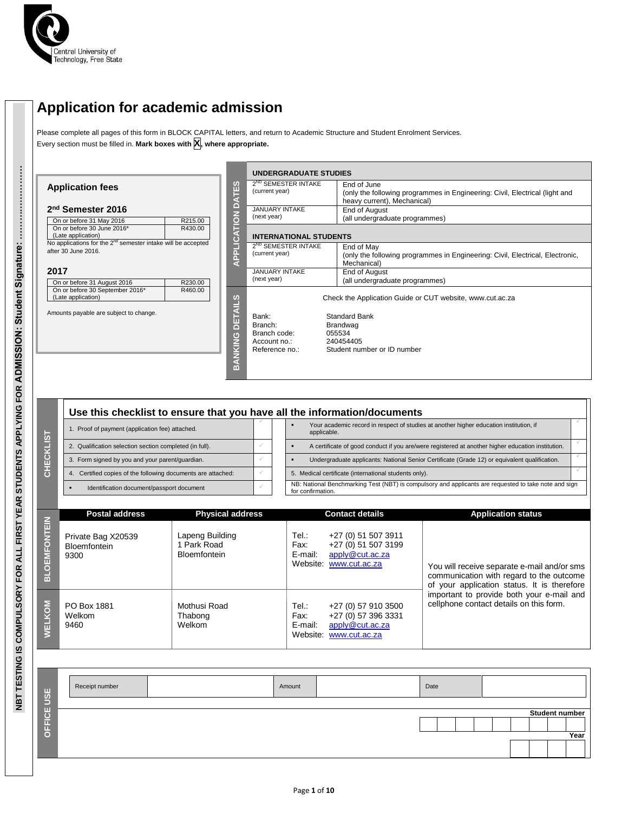

# **Application for academic admission**

Please complete all pages of this form in BLOCK CAPITAL letters, and return to Academic Structure and Student Enrolment Services. Every section must be filled in. **Mark boxes with X, where appropriate.**

|                                                                                                                                         |                     | <b>UNDERGRADUATE STUDIES</b>                                                 |                                                                                                                           |
|-----------------------------------------------------------------------------------------------------------------------------------------|---------------------|------------------------------------------------------------------------------|---------------------------------------------------------------------------------------------------------------------------|
| <b>Application fees</b>                                                                                                                 | <b>IES</b>          | 2 <sup>ND</sup> SEMESTER INTAKE<br>(current year)                            | End of June<br>(only the following programmes in Engineering: Civil, Electrical (light and<br>heavy current), Mechanical) |
| 2 <sup>nd</sup> Semester 2016<br>On or before 31 May 2016<br>R215.00                                                                    | ≏<br>$\overline{6}$ | <b>JANUARY INTAKE</b><br>(next year)                                         | End of August<br>(all undergraduate programmes)                                                                           |
| On or before 30 June 2016*<br>R430.00<br>(Late application)<br>No applications for the 2 <sup>nd</sup> semester intake will be accepted | Ĕ<br>G              | <b>INTERNATIONAL STUDENTS</b>                                                |                                                                                                                           |
| after 30 June 2016.                                                                                                                     | <b>APPLI</b>        | 2 <sup>ND</sup> SEMESTER INTAKE<br>(current year)                            | End of May<br>(only the following programmes in Engineering: Civil, Electrical, Electronic,<br>Mechanical)                |
| 2017<br>On or before 31 August 2016<br>R230.00                                                                                          |                     | <b>JANUARY INTAKE</b><br>(next year)                                         | End of August<br>(all undergraduate programmes)                                                                           |
| On or before 30 September 2016*<br>R460.00<br>(Late application)                                                                        | <b>AILS</b>         |                                                                              | Check the Application Guide or CUT website, www.cut.ac.za                                                                 |
| Amounts payable are subject to change.                                                                                                  | DET<br>BANKING      | Bank:<br>Branch:<br>Branch code:<br>055534<br>Account no.:<br>Reference no.: | Standard Bank<br>Brandwag<br>240454405<br>Student number or ID number                                                     |

| Use this checklist to ensure that you have all the information/documents |                                                                                                   |                                                                                               |                                                                                                                            |  |  |  |  |
|--------------------------------------------------------------------------|---------------------------------------------------------------------------------------------------|-----------------------------------------------------------------------------------------------|----------------------------------------------------------------------------------------------------------------------------|--|--|--|--|
| Proof of payment (application fee) attached.                             |                                                                                                   |                                                                                               | Your academic record in respect of studies at another higher education institution, if<br>applicable.                      |  |  |  |  |
| 2. Qualification selection section completed (in full).                  | A certificate of good conduct if you are/were registered at another higher education institution. |                                                                                               |                                                                                                                            |  |  |  |  |
| 3. Form signed by you and your parent/guardian.                          |                                                                                                   | Undergraduate applicants: National Senior Certificate (Grade 12) or equivalent qualification. |                                                                                                                            |  |  |  |  |
| 4. Certified copies of the following documents are attached:             |                                                                                                   |                                                                                               | 5. Medical certificate (international students only).                                                                      |  |  |  |  |
| Identification document/passport document                                |                                                                                                   |                                                                                               | NB: National Benchmarking Test (NBT) is compulsory and applicants are requested to take note and sign<br>for confirmation. |  |  |  |  |

|                     | <b>Postal address</b>                      | <b>Physical address</b>                             |                          | <b>Contact details</b>                                                                  | <b>Application status</b>                                                                                                              |
|---------------------|--------------------------------------------|-----------------------------------------------------|--------------------------|-----------------------------------------------------------------------------------------|----------------------------------------------------------------------------------------------------------------------------------------|
| <b>BLOEMFONTEIN</b> | Private Bag X20539<br>Bloemfontein<br>9300 | Lapeng Building<br>Park Road<br><b>Bloemfontein</b> | Tel:<br>Fax:<br>E-mail:  | +27 (0) 51 507 3911<br>+27 (0) 51 507 3199<br>apply@cut.ac.za<br>Website: www.cut.ac.za | You will receive separate e-mail and/or sms<br>communication with regard to the outcome<br>of your application status. It is therefore |
| <b>WELKOM</b>       | PO Box 1881<br>Welkom<br>9460              | Mothusi Road<br>Thabong<br>Welkom                   | Tel.:<br>Fax:<br>E-mail: | +27 (0) 57 910 3500<br>+27 (0) 57 396 3331<br>apply@cut.ac.za<br>Website: www.cut.ac.za | important to provide both your e-mail and<br>cellphone contact details on this form.                                                   |

| USE    | Receipt number | Amount | Date |  |  |  |                |
|--------|----------------|--------|------|--|--|--|----------------|
|        |                |        |      |  |  |  |                |
|        |                |        |      |  |  |  | Student number |
| OFFICE |                |        |      |  |  |  |                |
|        |                |        |      |  |  |  | Year           |
|        |                |        |      |  |  |  |                |
|        |                |        |      |  |  |  |                |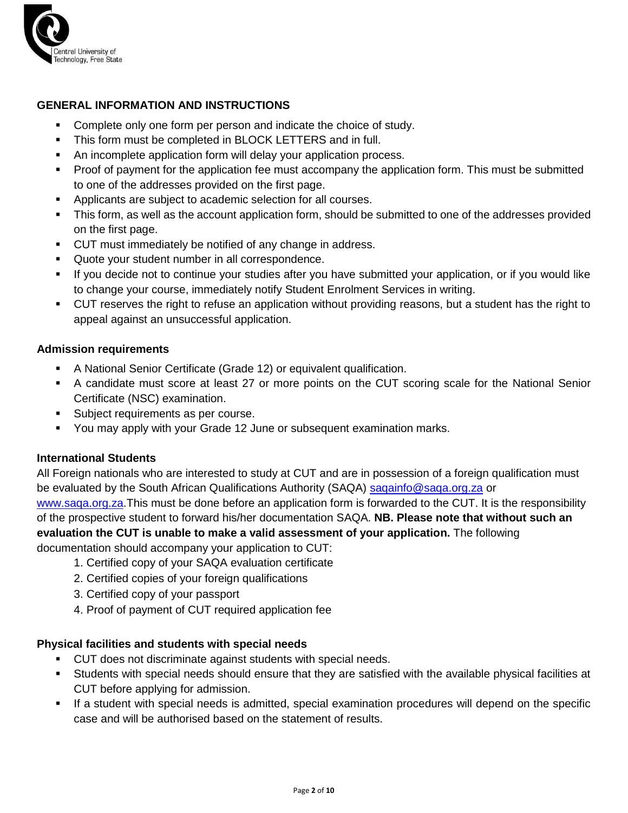

## **GENERAL INFORMATION AND INSTRUCTIONS**

- Complete only one form per person and indicate the choice of study.
- **This form must be completed in BLOCK LETTERS and in full.**
- An incomplete application form will delay your application process.
- Proof of payment for the application fee must accompany the application form. This must be submitted to one of the addresses provided on the first page.
- Applicants are subject to academic selection for all courses.
- This form, as well as the account application form, should be submitted to one of the addresses provided on the first page.
- CUT must immediately be notified of any change in address.
- **Quote your student number in all correspondence.**
- If you decide not to continue your studies after you have submitted your application, or if you would like to change your course, immediately notify Student Enrolment Services in writing.
- CUT reserves the right to refuse an application without providing reasons, but a student has the right to appeal against an unsuccessful application.

#### **Admission requirements**

- A National Senior Certificate (Grade 12) or equivalent qualification.
- A candidate must score at least 27 or more points on the CUT scoring scale for the National Senior Certificate (NSC) examination.
- **Subject requirements as per course.**
- You may apply with your Grade 12 June or subsequent examination marks.

## **International Students**

All Foreign nationals who are interested to study at CUT and are in possession of a foreign qualification must be evaluated by the South African Qualifications Authority (SAQA) [saqainfo@saqa.org.za](mailto:saqainfo@saqa.org.za) or [www.saqa.org.za.](http://www.saqa.org.za/)This must be done before an application form is forwarded to the CUT. It is the responsibility of the prospective student to forward his/her documentation SAQA. **NB. Please note that without such an evaluation the CUT is unable to make a valid assessment of your application.** The following documentation should accompany your application to CUT:

- 1. Certified copy of your SAQA evaluation certificate
- 2. Certified copies of your foreign qualifications
- 3. Certified copy of your passport
- 4. Proof of payment of CUT required application fee

## **Physical facilities and students with special needs**

- CUT does not discriminate against students with special needs.
- Students with special needs should ensure that they are satisfied with the available physical facilities at CUT before applying for admission.
- If a student with special needs is admitted, special examination procedures will depend on the specific case and will be authorised based on the statement of results.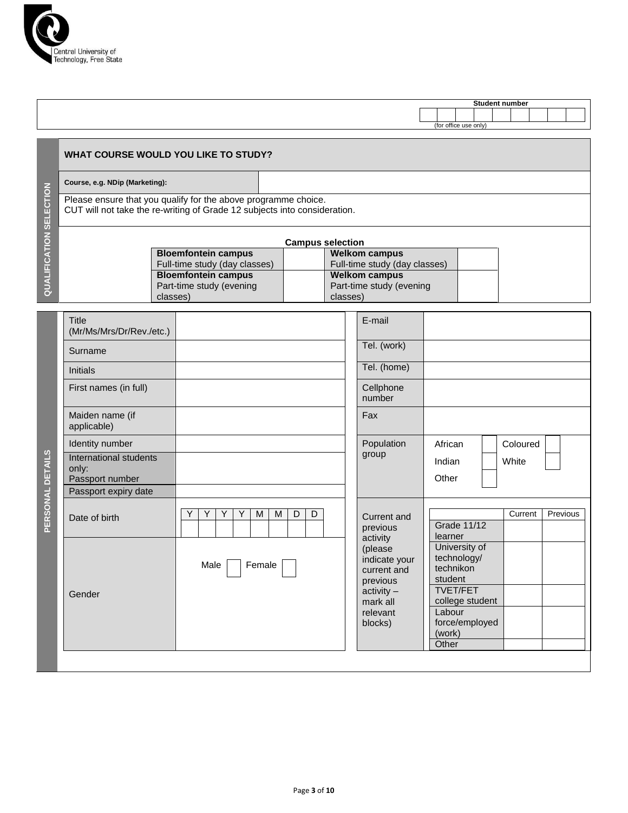

|  |                       |  | Student number |  |  |
|--|-----------------------|--|----------------|--|--|
|  |                       |  |                |  |  |
|  | (for office use only) |  |                |  |  |

#### **WHAT COURSE WOULD YOU LIKE TO STUDY?**

**Course, e.g. NDip (Marketing):**

Please ensure that you qualify for the above programme choice. CUT will not take the re-writing of Grade 12 subjects into consideration.

|                               | <b>Campus selection</b>       |  |  |  |  |  |
|-------------------------------|-------------------------------|--|--|--|--|--|
| <b>Bloemfontein campus</b>    | <b>Welkom campus</b>          |  |  |  |  |  |
| Full-time study (day classes) | Full-time study (day classes) |  |  |  |  |  |
| <b>Bloemfontein campus</b>    | <b>Welkom campus</b>          |  |  |  |  |  |
| Part-time study (evening      | Part-time study (evening      |  |  |  |  |  |
| classes)                      | classes)                      |  |  |  |  |  |

|                  | <b>Title</b><br>(Mr/Ms/Mrs/Dr/Rev./etc.)           |                                      | E-mail |                                                                                                                    |                                                                                                                                           |          |          |
|------------------|----------------------------------------------------|--------------------------------------|--------|--------------------------------------------------------------------------------------------------------------------|-------------------------------------------------------------------------------------------------------------------------------------------|----------|----------|
|                  | Surname                                            |                                      |        | Tel. (work)                                                                                                        |                                                                                                                                           |          |          |
|                  | <b>Initials</b>                                    |                                      |        | Tel. (home)                                                                                                        |                                                                                                                                           |          |          |
|                  | First names (in full)                              |                                      |        | Cellphone<br>number                                                                                                |                                                                                                                                           |          |          |
|                  | Maiden name (if<br>applicable)                     |                                      | Fax    |                                                                                                                    |                                                                                                                                           |          |          |
|                  | Identity number                                    |                                      |        | Population                                                                                                         | African                                                                                                                                   | Coloured |          |
| PERSONAL DETAILS | International students<br>only:<br>Passport number |                                      | group  |                                                                                                                    | Indian<br>Other                                                                                                                           | White    |          |
|                  | Passport expiry date                               |                                      |        |                                                                                                                    |                                                                                                                                           |          |          |
|                  | Date of birth                                      | Y<br>D<br>Y<br>Y<br>M<br>M<br>D<br>Y |        | Current and<br>previous                                                                                            | <b>Grade 11/12</b><br>learner                                                                                                             | Current  | Previous |
|                  | Gender                                             | Female<br>Male                       |        | activity<br>(please<br>indicate your<br>current and<br>previous<br>$activity -$<br>mark all<br>relevant<br>blocks) | University of<br>technology/<br>technikon<br>student<br><b>TVET/FET</b><br>college student<br>Labour<br>force/employed<br>(work)<br>Other |          |          |
|                  |                                                    |                                      |        |                                                                                                                    |                                                                                                                                           |          |          |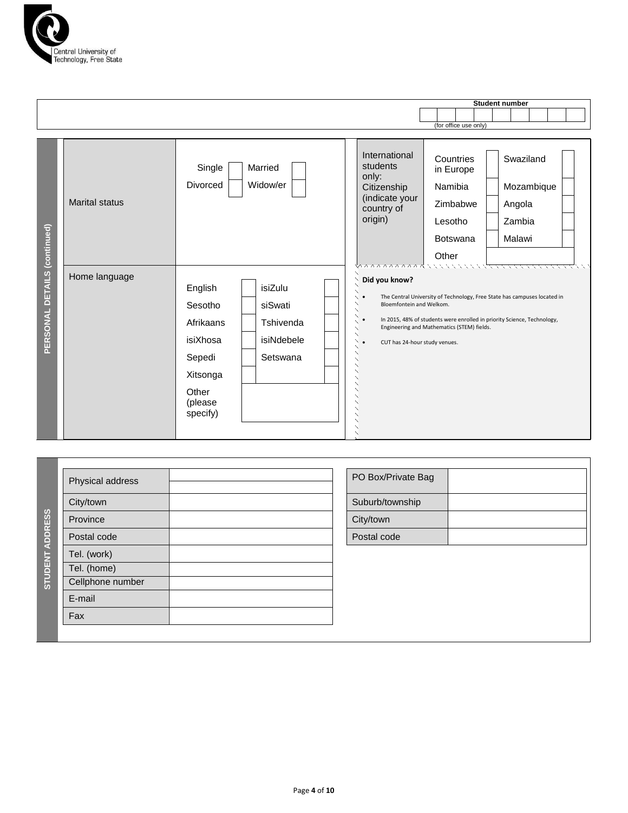

|                              |                       |                                                                                                   |                                                           |  |                                                                                                                                                                                                                                                                                                                                                                                                                                         |                        |  | Student number |            |  |  |  |  |
|------------------------------|-----------------------|---------------------------------------------------------------------------------------------------|-----------------------------------------------------------|--|-----------------------------------------------------------------------------------------------------------------------------------------------------------------------------------------------------------------------------------------------------------------------------------------------------------------------------------------------------------------------------------------------------------------------------------------|------------------------|--|----------------|------------|--|--|--|--|
|                              |                       |                                                                                                   |                                                           |  |                                                                                                                                                                                                                                                                                                                                                                                                                                         | (for office use only)  |  |                |            |  |  |  |  |
|                              |                       |                                                                                                   |                                                           |  |                                                                                                                                                                                                                                                                                                                                                                                                                                         |                        |  |                |            |  |  |  |  |
|                              |                       | Single                                                                                            | Married                                                   |  | International<br>students<br>only:                                                                                                                                                                                                                                                                                                                                                                                                      | Countries<br>in Europe |  | Swaziland      |            |  |  |  |  |
|                              |                       | Divorced                                                                                          | Widow/er                                                  |  | Citizenship                                                                                                                                                                                                                                                                                                                                                                                                                             | Namibia                |  |                | Mozambique |  |  |  |  |
|                              | <b>Marital status</b> |                                                                                                   |                                                           |  | (indicate your<br>country of                                                                                                                                                                                                                                                                                                                                                                                                            | Zimbabwe               |  | Angola         |            |  |  |  |  |
|                              |                       |                                                                                                   |                                                           |  | origin)                                                                                                                                                                                                                                                                                                                                                                                                                                 | Lesotho                |  | Zambia         |            |  |  |  |  |
|                              |                       |                                                                                                   |                                                           |  |                                                                                                                                                                                                                                                                                                                                                                                                                                         | <b>Botswana</b>        |  | Malawi         |            |  |  |  |  |
|                              |                       |                                                                                                   |                                                           |  |                                                                                                                                                                                                                                                                                                                                                                                                                                         | Other                  |  |                |            |  |  |  |  |
| PERSONAL DETAILS (continued) | Home language         | English<br>Sesotho<br>Afrikaans<br>isiXhosa<br>Sepedi<br>Xitsonga<br>Other<br>(please<br>specify) | isiZulu<br>siSwati<br>Tshivenda<br>isiNdebele<br>Setswana |  | <b>ハハハハハハハハ ハンマンマンマンマンマーマーマ</b><br>Did you know?<br>The Central University of Technology, Free State has campuses located in<br>╰╴<br>Bloemfontein and Welkom.<br>╲<br>╲<br>╲<br>In 2015, 48% of students were enrolled in priority Science, Technology,<br>$\bullet$<br>╲<br>Engineering and Mathematics (STEM) fields.<br>$\checkmark$<br>$\diagdown$<br>$\vee$ .<br>CUT has 24-hour study venues.<br>╲<br>╲<br>╲<br>╲<br>╲<br>╲<br>╲ |                        |  |                |            |  |  |  |  |

| Physical address | PO Box/Private Bag |
|------------------|--------------------|
| City/town        | Suburb/township    |
| Province         | City/town          |
| Postal code      | Postal code        |
| Tel. (work)      |                    |
| Tel. (home)      |                    |
| Cellphone number |                    |
| E-mail           |                    |
| Fax              |                    |

| Suburb/township<br>City/town | PO Box/Private Bag |  |
|------------------------------|--------------------|--|
|                              |                    |  |
|                              |                    |  |
| Postal code                  |                    |  |
|                              |                    |  |
|                              |                    |  |
|                              |                    |  |
|                              |                    |  |
|                              |                    |  |
|                              |                    |  |
|                              |                    |  |

**STUDENT ADDRESS**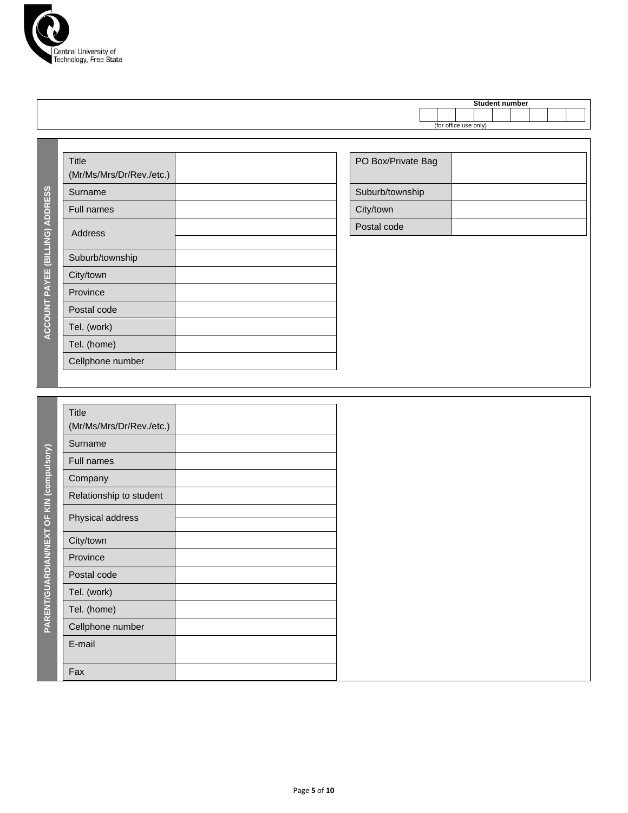

|  |  | e. | . . | ıbeı |  |  |
|--|--|----|-----|------|--|--|
|  |  |    |     |      |  |  |
|  |  |    |     |      |  |  |

| Title<br>(Mr/Ms/Mrs/Dr/Rev./etc.) | PO Box/Private Bag |
|-----------------------------------|--------------------|
| Surname                           | Suburb/township    |
| <b>Full names</b>                 | City/town          |
| <b>Address</b>                    | Postal code        |
|                                   |                    |
| Suburb/township                   |                    |
| City/town                         |                    |
| Province                          |                    |
| Postal code                       |                    |
| Tel. (work)                       |                    |
| Tel. (home)                       |                    |
| Cellphone number                  |                    |

| PO Box/Private Bag |  |
|--------------------|--|
| Suburb/township    |  |
| City/town          |  |
| Postal code        |  |

|  | <b>Title</b><br>(Mr/Ms/Mrs/Dr/Rev./etc.) |  |
|--|------------------------------------------|--|
|  | Surname                                  |  |
|  | Full names                               |  |
|  | Company                                  |  |
|  | Relationship to student                  |  |
|  | Physical address                         |  |
|  | City/town                                |  |
|  | Province                                 |  |
|  | Postal code                              |  |
|  | Tel. (work)                              |  |
|  | Tel. (home)                              |  |
|  | Cellphone number                         |  |
|  | E-mail                                   |  |
|  | Fax                                      |  |

**ACCOUNT PAYEE (BILLING) ADDRESS**

ACCOUNT PAYEE (BILLING) ADDRESS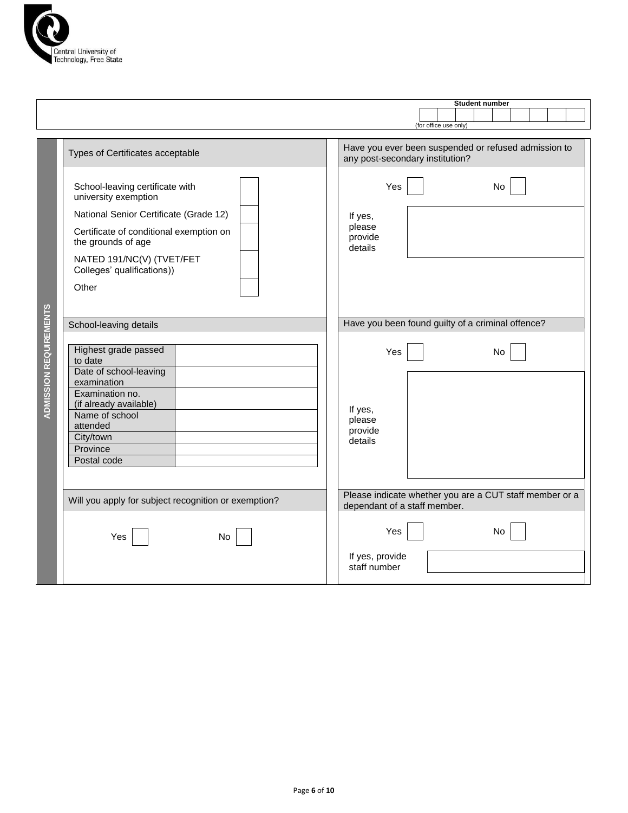

|                               |                                                                                                                                                                                                                                        | <b>Student number</b><br>(for office use only)                                                                          |
|-------------------------------|----------------------------------------------------------------------------------------------------------------------------------------------------------------------------------------------------------------------------------------|-------------------------------------------------------------------------------------------------------------------------|
|                               | Types of Certificates acceptable                                                                                                                                                                                                       | Have you ever been suspended or refused admission to<br>any post-secondary institution?                                 |
|                               | School-leaving certificate with<br>university exemption<br>National Senior Certificate (Grade 12)<br>Certificate of conditional exemption on<br>the grounds of age<br>NATED 191/NC(V) (TVET/FET<br>Colleges' qualifications))<br>Other | Yes<br>No<br>If yes,<br>please<br>provide<br>details                                                                    |
|                               | School-leaving details                                                                                                                                                                                                                 | Have you been found guilty of a criminal offence?                                                                       |
| <b>ADMISSION REQUIREMENTS</b> | Highest grade passed<br>to date<br>Date of school-leaving<br>examination<br>Examination no.<br>(if already available)<br>Name of school<br>attended<br>City/town<br>Province<br>Postal code                                            | Yes<br>No<br>If yes,<br>please<br>provide<br>details                                                                    |
|                               | Will you apply for subject recognition or exemption?<br>Yes<br>No.                                                                                                                                                                     | Please indicate whether you are a CUT staff member or a<br>dependant of a staff member.<br>Yes<br>No<br>If yes, provide |
|                               |                                                                                                                                                                                                                                        | staff number                                                                                                            |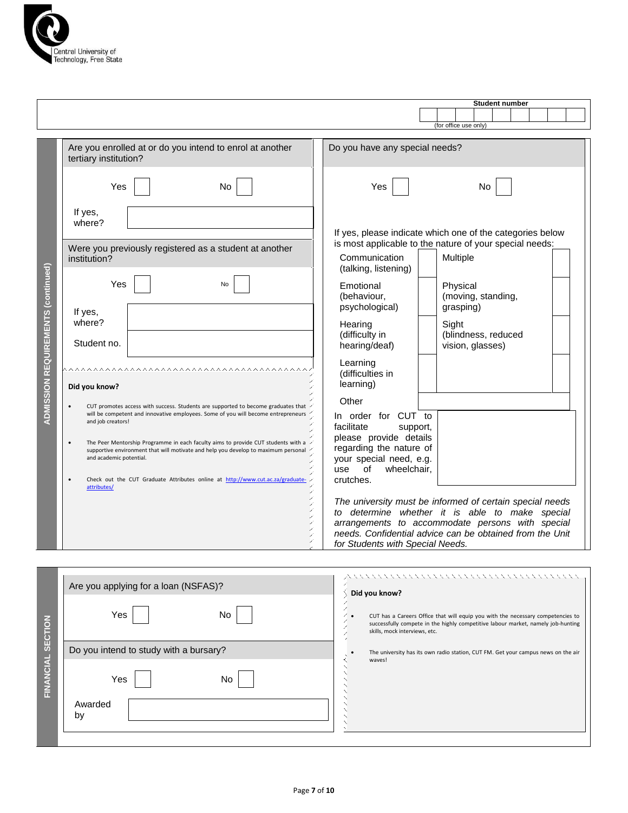

|                                           |                                                                              |                                                                                                                                                                                                                                                                                                                                                                                                                                                                              |                                                                                                                                                                                                                                                                  | <b>Student number</b><br>(for office use only)                                                                                                                                                                                      |
|-------------------------------------------|------------------------------------------------------------------------------|------------------------------------------------------------------------------------------------------------------------------------------------------------------------------------------------------------------------------------------------------------------------------------------------------------------------------------------------------------------------------------------------------------------------------------------------------------------------------|------------------------------------------------------------------------------------------------------------------------------------------------------------------------------------------------------------------------------------------------------------------|-------------------------------------------------------------------------------------------------------------------------------------------------------------------------------------------------------------------------------------|
|                                           | tertiary institution?                                                        | Are you enrolled at or do you intend to enrol at another                                                                                                                                                                                                                                                                                                                                                                                                                     | Do you have any special needs?                                                                                                                                                                                                                                   |                                                                                                                                                                                                                                     |
| <b>ADMISSION REQUIREMENTS (continued)</b> | Yes                                                                          | No                                                                                                                                                                                                                                                                                                                                                                                                                                                                           | Yes                                                                                                                                                                                                                                                              | No                                                                                                                                                                                                                                  |
|                                           | If yes,<br>where?<br>institution?<br>Yes<br>If yes,<br>where?<br>Student no. | Were you previously registered as a student at another<br>No                                                                                                                                                                                                                                                                                                                                                                                                                 | Communication<br>(talking, listening)<br>Emotional<br>(behaviour,<br>psychological)<br>Hearing<br>(difficulty in<br>hearing/deaf)                                                                                                                                | If yes, please indicate which one of the categories below<br>is most applicable to the nature of your special needs:<br>Multiple<br>Physical<br>(moving, standing,<br>grasping)<br>Sight<br>(blindness, reduced<br>vision, glasses) |
|                                           | Did you know?<br>and job creators!<br>and academic potential.<br>attributes/ | ^ ^ ^ ^ ^ ^ ^ ^ ^ ^ ^ ^ ^ ^ ^ ^ ^ ^ ^<br>CUT promotes access with success. Students are supported to become graduates that<br>will be competent and innovative employees. Some of you will become entrepreneurs<br>The Peer Mentorship Programme in each faculty aims to provide CUT students with a<br>supportive environment that will motivate and help you develop to maximum personal<br>Check out the CUT Graduate Attributes online at http://www.cut.ac.za/graduate- | Learning<br>(difficulties in<br>learning)<br>Other<br>In order for CUT to<br>facilitate<br>support,<br>please provide details<br>regarding the nature of<br>your special need, e.g.<br>of<br>wheelchair,<br>use<br>crutches.<br>for Students with Special Needs. | The university must be informed of certain special needs<br>to determine whether it is able to make special<br>arrangements to accommodate persons with special<br>needs. Confidential advice can be obtained from the Unit         |

|                          | Are you applying for a loan (NSFAS)?   | メント・マン アンスティング アンスティング アンスティング アール・アール アールス<br>Did you know?                                                                                                                                         |
|--------------------------|----------------------------------------|------------------------------------------------------------------------------------------------------------------------------------------------------------------------------------------------------|
|                          | Yes<br>No.                             | CUT has a Careers Office that will equip you with the necessary competencies to<br>successfully compete in the highly competitive labour market, namely job-hunting<br>skills, mock interviews, etc. |
|                          | Do you intend to study with a bursary? | The university has its own radio station, CUT FM. Get your campus news on the air<br>waves!                                                                                                          |
| <b>FINANCIAL SECTION</b> | Yes<br>No.<br>Awarded<br>by            |                                                                                                                                                                                                      |
|                          |                                        |                                                                                                                                                                                                      |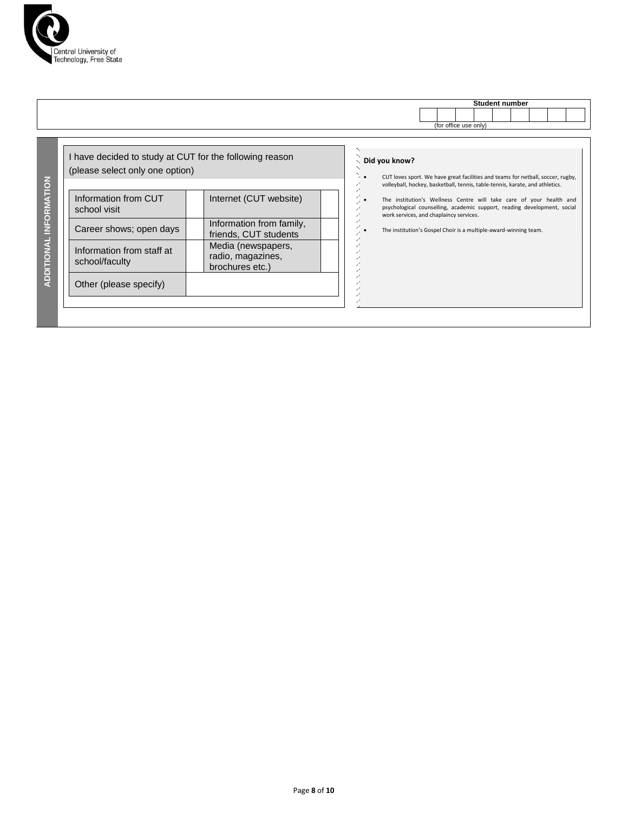

|                                                                                            |                                                            | <b>Student number</b>                                                                                                                                                                      |
|--------------------------------------------------------------------------------------------|------------------------------------------------------------|--------------------------------------------------------------------------------------------------------------------------------------------------------------------------------------------|
|                                                                                            |                                                            |                                                                                                                                                                                            |
|                                                                                            |                                                            | (for office use only)                                                                                                                                                                      |
| I have decided to study at CUT for the following reason<br>(please select only one option) |                                                            | Did you know?<br>CUT loves sport. We have great facilities and teams for netball, soccer, rugby,<br>volleyball, hockey, basketball, tennis, table-tennis, karate, and athletics.           |
| Information from CUT<br>school visit                                                       | Internet (CUT website)                                     | The institution's Wellness Centre will take care of your health and<br>psychological counselling, academic support, reading development, social<br>work services, and chaplaincy services. |
| Career shows; open days                                                                    | Information from family,<br>friends, CUT students          | The institution's Gospel Choir is a multiple-award-winning team.                                                                                                                           |
| Information from staff at<br>school/faculty                                                | Media (newspapers,<br>radio, magazines,<br>brochures etc.) |                                                                                                                                                                                            |
| Other (please specify)                                                                     |                                                            |                                                                                                                                                                                            |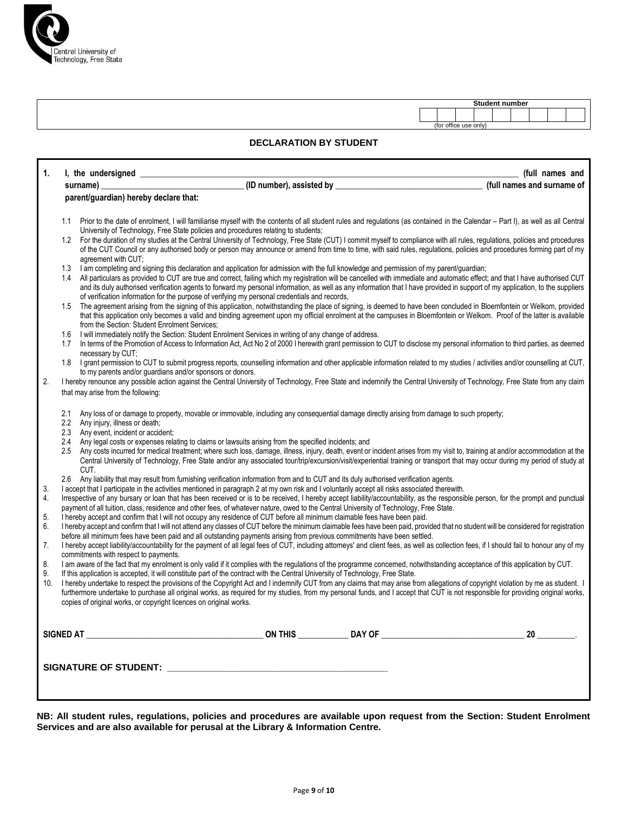

Г

|  |                       |  | <b>Student number</b> |  |  |
|--|-----------------------|--|-----------------------|--|--|
|  |                       |  |                       |  |  |
|  | (for office use only) |  |                       |  |  |

#### **DECLARATION BY STUDENT**

| 1.                          | I, the undersigned ______________                                                                                                                                                                                                                                                                                                                                                                                                                                                                                                                                                                                                  |  | (full names and |
|-----------------------------|------------------------------------------------------------------------------------------------------------------------------------------------------------------------------------------------------------------------------------------------------------------------------------------------------------------------------------------------------------------------------------------------------------------------------------------------------------------------------------------------------------------------------------------------------------------------------------------------------------------------------------|--|-----------------|
|                             | surname)                                                                                                                                                                                                                                                                                                                                                                                                                                                                                                                                                                                                                           |  |                 |
|                             | parent/guardian) hereby declare that:                                                                                                                                                                                                                                                                                                                                                                                                                                                                                                                                                                                              |  |                 |
| 1.1<br>1.2                  | Prior to the date of enrolment, I will familiarise myself with the contents of all student rules and regulations (as contained in the Calendar – Part I), as well as all Central<br>University of Technology, Free State policies and procedures relating to students;<br>For the duration of my studies at the Central University of Technology, Free State (CUT) I commit myself to compliance with all rules, regulations, policies and procedures<br>of the CUT Council or any authorised body or person may announce or amend from time to time, with said rules, regulations, policies and procedures forming part of my     |  |                 |
| 1.3<br>1.4                  | agreement with CUT;<br>I am completing and signing this declaration and application for admission with the full knowledge and permission of my parent/quardian;<br>All particulars as provided to CUT are true and correct, failing which my registration will be cancelled with immediate and automatic effect; and that I have authorised CUT<br>and its duly authorised verification agents to forward my personal information, as well as any information that I have provided in support of my application, to the suppliers<br>of verification information for the purpose of verifying my personal credentials and records, |  |                 |
| 1.5                         | The agreement arising from the signing of this application, notwithstanding the place of signing, is deemed to have been concluded in Bloemfontein or Welkom, provided<br>that this application only becomes a valid and binding agreement upon my official enrolment at the campuses in Bloemfontein or Welkom. Proof of the latter is available<br>from the Section: Student Enrolment Services;                                                                                                                                                                                                                                 |  |                 |
| 1.6<br>1.7                  | I will immediately notify the Section: Student Enrolment Services in writing of any change of address.<br>In terms of the Promotion of Access to Information Act, Act No 2 of 2000 I herewith grant permission to CUT to disclose my personal information to third parties, as deemed<br>necessary by CUT;                                                                                                                                                                                                                                                                                                                         |  |                 |
| 1.8                         | I grant permission to CUT to submit progress reports, counselling information and other applicable information related to my studies / activities and/or counselling at CUT,<br>to my parents and/or guardians and/or sponsors or donors.                                                                                                                                                                                                                                                                                                                                                                                          |  |                 |
| 2.                          | I hereby renounce any possible action against the Central University of Technology, Free State and indemnify the Central University of Technology, Free State from any claim<br>that may arise from the following:                                                                                                                                                                                                                                                                                                                                                                                                                 |  |                 |
| 2.1<br>$2.2^{\circ}$<br>2.3 | Any loss of or damage to property, movable or immovable, including any consequential damage directly arising from damage to such property;<br>Any injury, illness or death;<br>Any event, incident or accident;                                                                                                                                                                                                                                                                                                                                                                                                                    |  |                 |
| 2.4<br>2.5                  | Any legal costs or expenses relating to claims or lawsuits arising from the specified incidents; and<br>Any costs incurred for medical treatment; where such loss, damage, illness, injury, death, event or incident arises from my visit to, training at and/or accommodation at the<br>Central University of Technology, Free State and/or any associated tour/trip/excursion/visit/experiential training or transport that may occur during my period of study at<br>CUT.                                                                                                                                                       |  |                 |
|                             | 2.6 Any liability that may result from fumishing verification information from and to CUT and its duly authorised verification agents.                                                                                                                                                                                                                                                                                                                                                                                                                                                                                             |  |                 |
| 3.<br>4.                    | I accept that I participate in the activities mentioned in paragraph 2 at my own risk and I voluntarily accept all risks associated therewith.<br>Irrespective of any bursary or loan that has been received or is to be received. I hereby accept liability/accountability, as the responsible person, for the prompt and punctual<br>payment of all tuition, class, residence and other fees, of whatever nature, owed to the Central University of Technology, Free State.                                                                                                                                                      |  |                 |
| 5.<br>6.                    | I hereby accept and confirm that I will not occupy any residence of CUT before all minimum claimable fees have been paid.<br>I hereby accept and confirm that I will not attend any classes of CUT before the minimum claimable fees have been paid, provided that no student will be considered for registration<br>before all minimum fees have been paid and all outstanding payments arising from previous commitments have been settled.                                                                                                                                                                                      |  |                 |
| 7.                          | I hereby accept liability/accountability for the payment of all legal fees of CUT, including attorneys' and client fees, as well as collection fees, if I should fail to honour any of my                                                                                                                                                                                                                                                                                                                                                                                                                                          |  |                 |
| 8.                          | commitments with respect to payments.<br>I am aware of the fact that my enrolment is only valid if it complies with the regulations of the programme concerned, notwithstanding acceptance of this application by CUT.<br>If this application is accepted, it will constitute part of the contract with the Central University of Technology, Free State.                                                                                                                                                                                                                                                                          |  |                 |
| 9.<br>10.                   | I hereby undertake to respect the provisions of the Copyright Act and I indemnify CUT from any claims that may arise from allegations of copyright violation by me as student. I<br>furthermore undertake to purchase all original works, as required for my studies, from my personal funds, and I accept that CUT is not responsible for providing original works,<br>copies of original works, or copyright licences on original works.                                                                                                                                                                                         |  |                 |
|                             |                                                                                                                                                                                                                                                                                                                                                                                                                                                                                                                                                                                                                                    |  | 20              |
|                             |                                                                                                                                                                                                                                                                                                                                                                                                                                                                                                                                                                                                                                    |  |                 |

**NB: All student rules, regulations, policies and procedures are available upon request from the Section: Student Enrolment Services and are also available for perusal at the Library & Information Centre.**